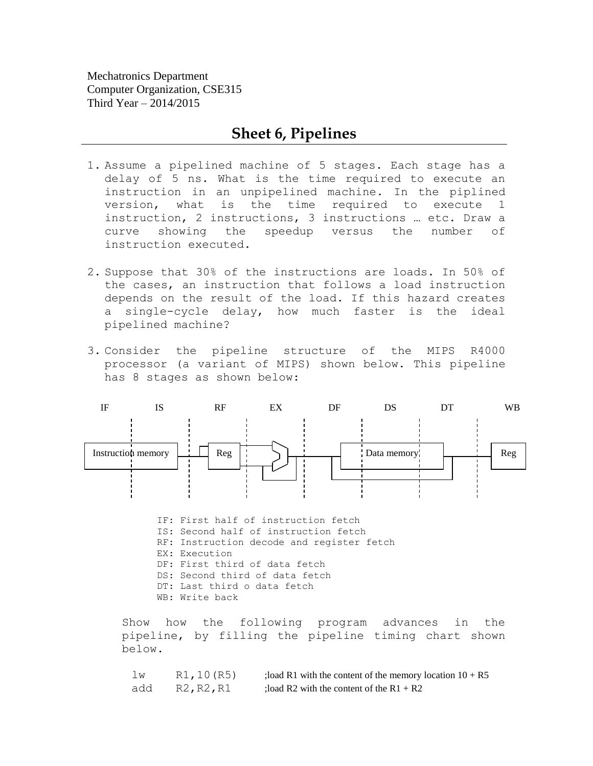Mechatronics Department Computer Organization, CSE315 Third Year – 2014/2015

## **Sheet 6, Pipelines**

- 1. Assume a pipelined machine of 5 stages. Each stage has a delay of 5 ns. What is the time required to execute an instruction in an unpipelined machine. In the piplined version, what is the time required to execute 1 instruction, 2 instructions, 3 instructions … etc. Draw a curve showing the speedup versus the number of instruction executed.
- 2. Suppose that 30% of the instructions are loads. In 50% of the cases, an instruction that follows a load instruction depends on the result of the load. If this hazard creates a single-cycle delay, how much faster is the ideal pipelined machine?
- 3. Consider the pipeline structure of the MIPS R4000 processor (a variant of MIPS) shown below. This pipeline has 8 stages as shown below:



IF: First half of instruction fetch IS: Second half of instruction fetch RF: Instruction decode and register fetch EX: Execution DF: First third of data fetch DS: Second third of data fetch DT: Last third o data fetch WB: Write back

Show how the following program advances in the pipeline, by filling the pipeline timing chart shown below.

| lw  | R1, 10 (R5) | ; load R1 with the content of the memory location $10 + R5$ |
|-----|-------------|-------------------------------------------------------------|
| add | R2, R2, R1  | : load R2 with the content of the $R1 + R2$                 |